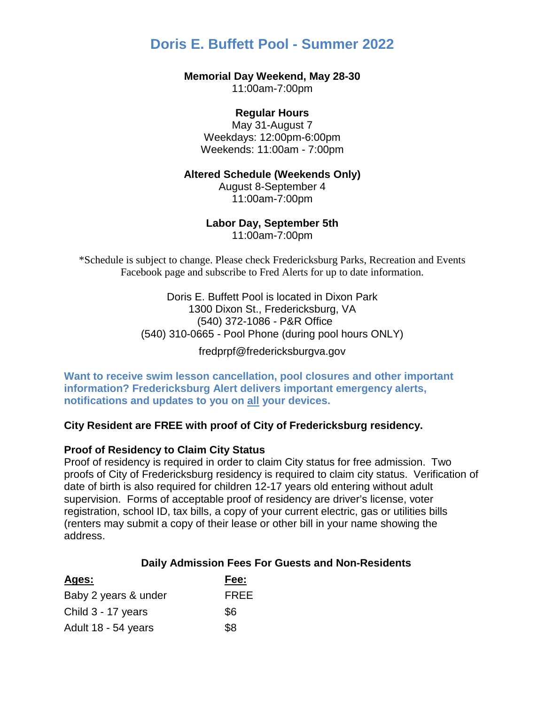# **Doris E. Buffett Pool - Summer 2022**

#### **Memorial Day Weekend, May 28-30**

11:00am-7:00pm

## **Regular Hours**

May 31-August 7 Weekdays: 12:00pm-6:00pm Weekends: 11:00am - 7:00pm

#### **Altered Schedule (Weekends Only)**

August 8-September 4 11:00am-7:00pm

#### **Labor Day, September 5th**

11:00am-7:00pm

\*Schedule is subject to change. Please check Fredericksburg Parks, Recreation and Events Facebook page and subscribe to Fred Alerts for up to date information.

> **Doris E. Buffett [Pool is located in Dixon Park](http://www.fredericksburgva.gov/pr/Forms_and_Tools/directions_and_maps.asp)** *40T3*[1300 Dixon St., Fredericksburg, VA](http://www.fredericksburgva.gov/pr/Forms_and_Tools/directions_and_maps.asp) *40T3*(540) 372-1086 - P&R Office *40T 40T*(540) 310-0665 - Pool Phone (during pool hours ONLY)

> > [fredprpf@fredericksburgva.gov](mailto:fredprpf@fredericksburgva.gov)

**Want to receive swim lesson cancellation, pool closures and other important information? Fredericksburg Alert delivers important emergency alerts, notifications and updates to you on all your devices.** 

### *40T***City Resident are FREE with proof of City of Fredericksburg residency.**

### **Proof of Residency to Claim City Status**

Proof of residency is required in order to claim City status for free admission. Two proofs of City of Fredericksburg residency is required to claim city status. Verification of date of birth is also required for children 12-17 years old entering without adult supervision. Forms of acceptable proof of residency are driver's license, voter registration, school ID, tax bills, a copy of your current electric, gas or utilities bills (renters may submit a copy of their lease or other bill in your name showing the address.

#### *40T***Daily Admission Fees For Guests and Non-Residents**

| Ages:                | Fee:        |
|----------------------|-------------|
| Baby 2 years & under | <b>FREE</b> |
| Child 3 - 17 years   | \$6         |
| Adult 18 - 54 years  | \$8         |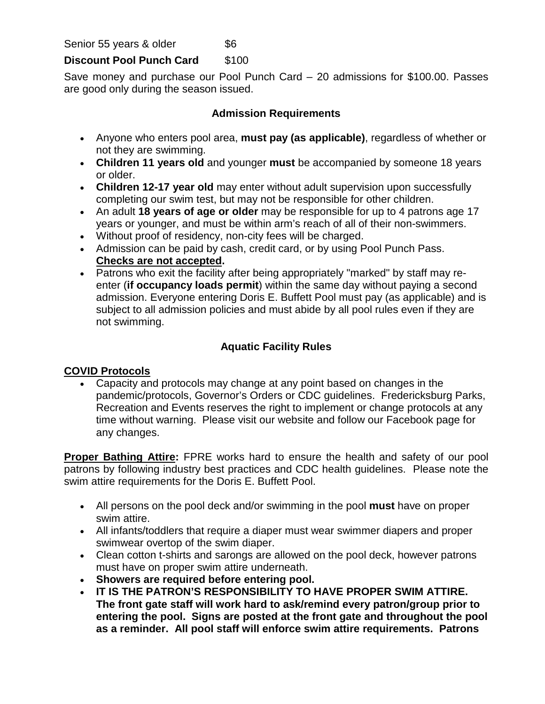Senior 55 years & older \$6

## **Discount Pool Punch Card** \$100

Save money and purchase our Pool Punch Card – 20 admissions for \$100.00. Passes are good only during the season issued.

## **Admission Requirements**

- Anyone who enters pool area, **must pay (as applicable)**, regardless of whether or not they are swimming.
- **Children 11 years old** and younger **must** be accompanied by someone 18 years or older.
- **Children 12-17 year old** may enter without adult supervision upon successfully completing our swim test, but may not be responsible for other children.
- An adult **18 years of age or older** may be responsible for up to 4 patrons age 17 years or younger, and must be within arm's reach of all of their non-swimmers.
- Without proof of residency, non-city fees will be charged.
- Admission can be paid by cash, credit card, or by using Pool Punch Pass. *<sup>U</sup>***Checks are not accepted.**
- Patrons who exit the facility after being appropriately "marked" by staff may reenter (**if occupancy loads permit**) within the same day without paying a second admission. Everyone entering Doris E. Buffett Pool must pay (as applicable) and is subject to all admission policies and must abide by all pool rules even if they are not swimming.

# **Aquatic Facility Rules**

## **COVID Protocols**

• Capacity and protocols may change at any point based on changes in the pandemic/protocols, Governor's Orders or CDC guidelines. Fredericksburg Parks, Recreation and Events reserves the right to implement or change protocols at any time without warning. Please visit our website and follow our Facebook page for any changes.

**Proper Bathing Attire:** FPRE works hard to ensure the health and safety of our pool patrons by following industry best practices and CDC health guidelines. Please note the swim attire requirements for the Doris E. Buffett Pool.

- All persons on the pool deck and/or swimming in the pool **must** have on proper swim attire.
- All infants/toddlers that require a diaper must wear swimmer diapers and proper swimwear overtop of the swim diaper.
- Clean cotton t-shirts and sarongs are allowed on the pool deck, however patrons must have on proper swim attire underneath.
- **Showers are required before entering pool.**
- **IT IS THE PATRON'S RESPONSIBILITY TO HAVE PROPER SWIM ATTIRE. The front gate staff will work hard to ask/remind every patron/group prior to entering the pool. Signs are posted at the front gate and throughout the pool as a reminder. All pool staff will enforce swim attire requirements. Patrons**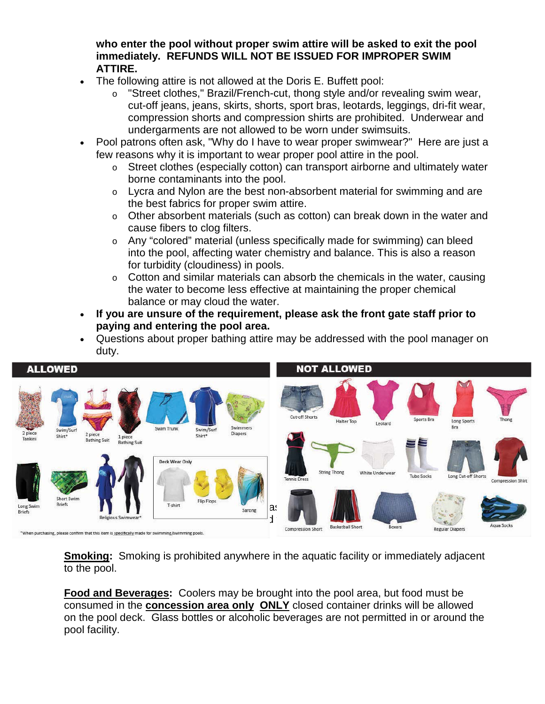**who enter the pool without proper swim attire will be asked to exit the pool immediately. REFUNDS WILL NOT BE ISSUED FOR IMPROPER SWIM ATTIRE.** 

- The following attire is not allowed at the Doris E. Buffett pool:
	- o "Street clothes," Brazil/French-cut, thong style and/or revealing swim wear, cut-off jeans, jeans, skirts, shorts, sport bras, leotards, leggings, dri-fit wear, compression shorts and compression shirts are prohibited. Underwear and undergarments are not allowed to be worn under swimsuits.
- Pool patrons often ask, "Why do I have to wear proper swimwear?" Here are just a few reasons why it is important to wear proper pool attire in the pool.
	- $\circ$  Street clothes (especially cotton) can transport airborne and ultimately water borne contaminants into the pool.
	- o Lycra and Nylon are the best non-absorbent material for swimming and are the best fabrics for proper swim attire.
	- o Other absorbent materials (such as cotton) can break down in the water and cause fibers to clog filters.
	- o Any "colored" material (unless specifically made for swimming) can bleed into the pool, affecting water chemistry and balance. This is also a reason for turbidity (cloudiness) in pools.
	- $\circ$  Cotton and similar materials can absorb the chemicals in the water, causing the water to become less effective at maintaining the proper chemical balance or may cloud the water.
- **If you are unsure of the requirement, please ask the front gate staff prior to paying and entering the pool area.**
- Questions about proper bathing attire may be addressed with the pool manager on duty.



**Smoking:** Smoking is prohibited anywhere in the aquatic facility or immediately adjacent to the pool.

**Food and Beverages:** Coolers may be brought into the pool area, but food must be consumed in the **concession area only ONLY** closed container drinks will be allowed on the pool deck. Glass bottles or alcoholic beverages are not permitted in or around the pool facility.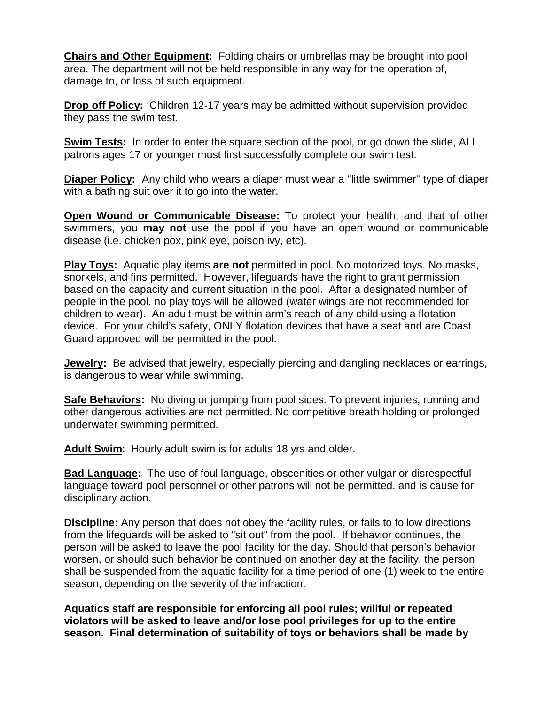**Chairs and Other Equipment:** Folding chairs or umbrellas may be brought into pool area. The department will not be held responsible in any way for the operation of, damage to, or loss of such equipment.

**Drop off Policy:** Children 12-17 years may be admitted without supervision provided they pass the swim test.

**Swim Tests:** In order to enter the square section of the pool, or go down the slide, ALL patrons ages 17 or younger must first successfully complete our swim test.

**Diaper Policy:** Any child who wears a diaper must wear a "little swimmer" type of diaper with a bathing suit over it to go into the water.

**Open Wound or Communicable Disease:** To protect your health, and that of other swimmers, you **may not** use the pool if you have an open wound or communicable disease (i.e. chicken pox, pink eye, poison ivy, etc).

**Play Toys:** Aquatic play items **are not** permitted in pool. No motorized toys. No masks, snorkels, and fins permitted. However, lifeguards have the right to grant permission based on the capacity and current situation in the pool. After a designated number of people in the pool, no play toys will be allowed (water wings are not recommended for children to wear). An adult must be within arm's reach of any child using a flotation device. For your child's safety, ONLY flotation devices that have a seat and are Coast Guard approved will be permitted in the pool.

**Jewelry:** Be advised that jewelry, especially piercing and dangling necklaces or earrings, is dangerous to wear while swimming.

**Safe Behaviors:** No diving or jumping from pool sides. To prevent injuries, running and other dangerous activities are not permitted. No competitive breath holding or prolonged underwater swimming permitted.

**Adult Swim**: Hourly adult swim is for adults 18 yrs and older.

**Bad Language:** The use of foul language, obscenities or other vulgar or disrespectful language toward pool personnel or other patrons will not be permitted, and is cause for disciplinary action.

**Discipline:** Any person that does not obey the facility rules, or fails to follow directions from the lifeguards will be asked to "sit out" from the pool. If behavior continues, the person will be asked to leave the pool facility for the day. Should that person's behavior worsen, or should such behavior be continued on another day at the facility, the person shall be suspended from the aquatic facility for a time period of one (1) week to the entire season, depending on the severity of the infraction.

**Aquatics staff are responsible for enforcing all pool rules; willful or repeated violators will be asked to leave and/or lose pool privileges for up to the entire season. Final determination of suitability of toys or behaviors shall be made by**